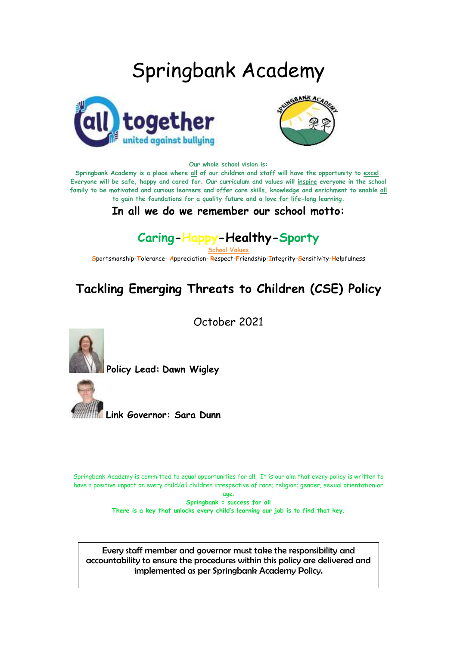# Springbank Academy





#### **Our whole school vision is:**

**Springbank Academy is a place where all of our children and staff will have the opportunity to excel. Everyone will be safe, happy and cared for. Our curriculum and values will inspire everyone in the school family to be motivated and curious learners and offer core skills, knowledge and enrichment to enable all to gain the foundations for a quality future and a love for life-long learning.**

**In all we do we remember our school motto:**

### **Caring-Happy-Healthy-Sporty**

**School Values**

**S**portsmanship-**T**olerance- **A**ppreciation- **R**espect-**F**riendship-**I**ntegrity-**S**ensitivity-**H**elpfulness

## **Tackling Emerging Threats to Children (CSE) Policy**

October 2021



**Policy Lead: Dawn Wigley**



**Link Governor: Sara Dunn**

Springbank Academy is committed to equal opportunities for all. It is our aim that every policy is written to have a positive impact on every child/all children irrespective of race; religion; gender; sexual orientation or

> age. **Springbank = success for all There is a key that unlocks every child's learning our job is to find that key.**

Every staff member and governor must take the responsibility and accountability to ensure the procedures within this policy are delivered and implemented as per Springbank Academy Policy.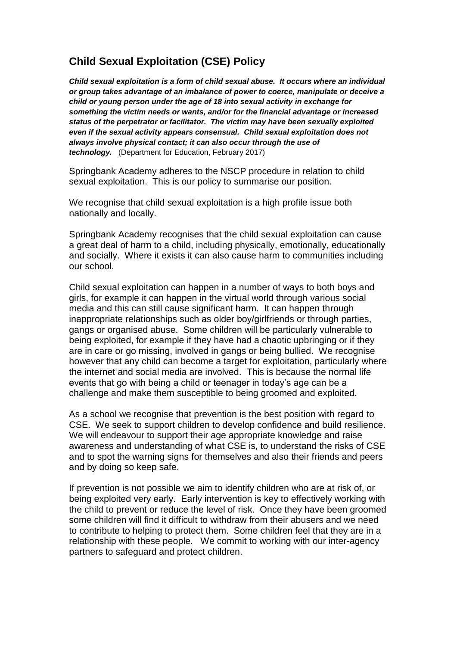### **Child Sexual Exploitation (CSE) Policy**

*Child sexual exploitation is a form of child sexual abuse. It occurs where an individual or group takes advantage of an imbalance of power to coerce, manipulate or deceive a child or young person under the age of 18 into sexual activity in exchange for something the victim needs or wants, and/or for the financial advantage or increased status of the perpetrator or facilitator. The victim may have been sexually exploited even if the sexual activity appears consensual. Child sexual exploitation does not always involve physical contact; it can also occur through the use of technology.* (Department for Education, February 2017)

Springbank Academy adheres to the NSCP procedure in relation to child sexual exploitation. This is our policy to summarise our position.

We recognise that child sexual exploitation is a high profile issue both nationally and locally.

Springbank Academy recognises that the child sexual exploitation can cause a great deal of harm to a child, including physically, emotionally, educationally and socially. Where it exists it can also cause harm to communities including our school.

Child sexual exploitation can happen in a number of ways to both boys and girls, for example it can happen in the virtual world through various social media and this can still cause significant harm. It can happen through inappropriate relationships such as older boy/girlfriends or through parties, gangs or organised abuse. Some children will be particularly vulnerable to being exploited, for example if they have had a chaotic upbringing or if they are in care or go missing, involved in gangs or being bullied. We recognise however that any child can become a target for exploitation, particularly where the internet and social media are involved. This is because the normal life events that go with being a child or teenager in today's age can be a challenge and make them susceptible to being groomed and exploited.

As a school we recognise that prevention is the best position with regard to CSE. We seek to support children to develop confidence and build resilience. We will endeavour to support their age appropriate knowledge and raise awareness and understanding of what CSE is, to understand the risks of CSE and to spot the warning signs for themselves and also their friends and peers and by doing so keep safe.

If prevention is not possible we aim to identify children who are at risk of, or being exploited very early. Early intervention is key to effectively working with the child to prevent or reduce the level of risk. Once they have been groomed some children will find it difficult to withdraw from their abusers and we need to contribute to helping to protect them. Some children feel that they are in a relationship with these people. We commit to working with our inter-agency partners to safeguard and protect children.